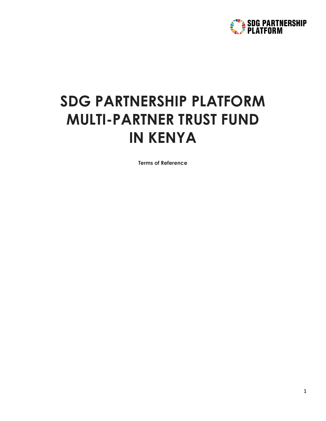

# **SDG PARTNERSHIP PLATFORM MULTI-PARTNER TRUST FUND IN KENYA**

**Terms of Reference**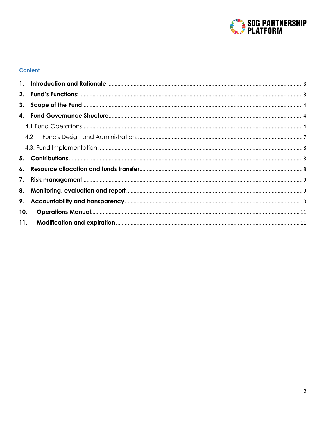

# **Content**

| 3.  |  |
|-----|--|
|     |  |
|     |  |
|     |  |
|     |  |
|     |  |
|     |  |
|     |  |
|     |  |
|     |  |
| 10. |  |
| 11. |  |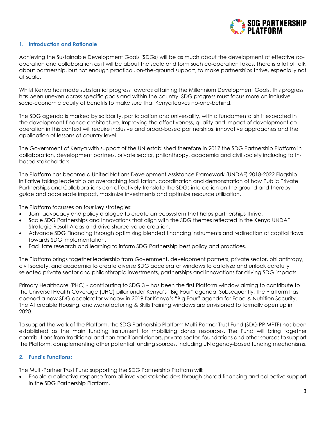

# <span id="page-2-0"></span>**1. Introduction and Rationale**

Achieving the Sustainable Development Goals (SDGs) will be as much about the development of effective cooperation and collaboration as it will be about the scale and form such co-operation takes. There is a lot of talk about partnership, but not enough practical, on-the-ground support, to make partnerships thrive, especially not at scale.

Whilst Kenya has made substantial progress towards attaining the Millennium Development Goals, this progress has been uneven across specific goals and within the country. SDG progress must focus more on inclusive socio-economic equity of benefits to make sure that Kenya leaves no-one-behind.

The SDG agenda is marked by solidarity, participation and universality, with a fundamental shift expected in the development finance architecture. Improving the effectiveness, quality and impact of development cooperation in this context will require inclusive and broad-based partnerships, innovative approaches and the application of lessons at country level.

The Government of Kenya with support of the UN established therefore in 2017 the SDG Partnership Platform in collaboration, development partners, private sector, philanthropy, academia and civil society including faithbased stakeholders.

The Platform has become a United Nations Development Assistance Framework (UNDAF) 2018-2022 Flagship initiative taking leadership on overarching facilitation, coordination and demonstration of how Public Private Partnerships and Collaborations can effectively translate the SDGs into action on the ground and thereby guide and accelerate impact, maximize investments and optimize resource utilization.

The Platform focusses on four key strategies:

- Joint advocacy and policy dialogue to create an ecosystem that helps partnerships thrive.
- Scale SDG Partnerships and Innovations that align with the SDG themes reflected in the Kenya UNDAF Strategic Result Areas and drive shared value creation.
- Advance SDG Financing through optimizing blended financing instruments and redirection of capital flows towards SDG implementation.
- Facilitate research and learning to inform SDG Partnership best policy and practices.

The Platform brings together leadership from Government, development partners, private sector, philanthropy, civil society, and academia to create diverse SDG accelerator windows to catalyze and unlock carefully selected private sector and philanthropic investments, partnerships and innovations for driving SDG impacts.

Primary Healthcare (PHC) - contributing to SDG 3 – has been the first Platform window aiming to contribute to the Universal Health Coverage (UHC) pillar under Kenya's "Big Four" agenda. Subsequently, the Platform has opened a new SDG accelerator window in 2019 for Kenya's "Big Four" agenda for Food & Nutrition Security. The Affordable Housing, and Manufacturing & Skills Training windows are envisioned to formally open up in 2020.

To support the work of the Platform, the SDG Partnership Platform Multi-Partner Trust Fund (SDG PP MPTF) has been established as the main funding instrument for mobilizing donor resources. The Fund will bring together contributions from traditional and non-traditional donors, private sector, foundations and other sources to support the Platform, complementing other potential funding sources, including UN agency-based funding mechanisms.

## <span id="page-2-1"></span>**2. Fund's Functions:**

The Multi-Partner Trust Fund supporting the SDG Partnership Platform will:

• Enable a collective response from all involved stakeholders through shared financing and collective support in the SDG Partnership Platform.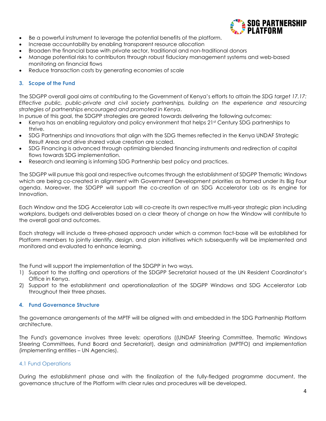

- Be a powerful instrument to leverage the potential benefits of the platform.
- Increase accountability by enabling transparent resource allocation
- Broaden the financial base with private sector, traditional and non-traditional donors
- Manage potential risks to contributors through robust fiduciary management systems and web-based monitoring on financial flows
- Reduce transaction costs by generating economies of scale

# <span id="page-3-0"></span>**3. Scope of the Fund**

The SDGPP overall goal aims at contributing to the Government of Kenya's efforts to attain the *SDG target 17.17: Effective public, public-private and civil society partnerships, building on the experience and resourcing strategies of partnerships encouraged and promoted in Kenya*.

In pursue of this goal, the SDGPP strategies are geared towards delivering the following outcomes:

- Kenya has an enabling regulatory and policy environment that helps 21st Century SDG partnerships to thrive.
- SDG Partnerships and Innovations that align with the SDG themes reflected in the Kenya UNDAF Strategic Result Areas and drive shared value creation are scaled.
- SDG Financing is advanced through optimizing blended financing instruments and redirection of capital flows towards SDG implementation.
- Research and learning is informing SDG Partnership best policy and practices.

The SDGPP will pursue this goal and respective outcomes through the establishment of SDGPP Thematic Windows which are being co-created in alignment with Government Development priorities as framed under its Big Four agenda. Moreover, the SDGPP will support the co-creation of an SDG Accelerator Lab as its engine for Innovation.

Each Window and the SDG Accelerator Lab will co-create its own respective multi-year strategic plan including workplans, budgets and deliverables based on a clear theory of change on how the Window will contribute to the overall goal and outcomes.

Each strategy will include a three-phased approach under which a common fact-base will be established for Platform members to jointly identify, design, and plan initiatives which subsequently will be implemented and monitored and evaluated to enhance learning.

The Fund will support the implementation of the SDGPP in two ways.

- 1) Support to the staffing and operations of the SDGPP Secretariat housed at the UN Resident Coordinator's Office in Kenya.
- 2) Support to the establishment and operationalization of the SDGPP Windows and SDG Accelerator Lab throughout their three phases.

## <span id="page-3-1"></span>**4. Fund Governance Structure**

The governance arrangements of the MPTF will be aligned with and embedded in the SDG Partnership Platform architecture.

The Fund's governance involves three levels: operations ((UNDAF Steering Committee, Thematic Windows Steering Committees, Fund Board and Secretariat), design and administration (MPTFO) and implementation (implementing entities – UN Agencies).

## <span id="page-3-2"></span>4.1 Fund Operations

During the establishment phase and with the finalization of the fully-fledged programme document, the governance structure of the Platform with clear rules and procedures will be developed.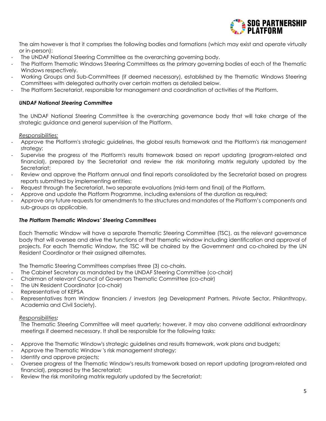

The aim however is that it comprises the following bodies and formations (which may exist and operate virtually or in-person):

- The UNDAF National Steering Committee as the overarching governing body.
- The Platform Thematic Windows Steering Committees as the primary governing bodies of each of the Thematic Windows respectively.
- Working Groups and Sub-Committees (if deemed necessary), established by the Thematic Windows Steering Committees with delegated authority over certain matters as detailed below.
- The Platform Secretariat, responsible for management and coordination of activities of the Platform.

#### *UNDAF National Steering Committee*

The UNDAF National Steering Committee is the overarching governance body that will take charge of the strategic guidance and general supervision of the Platform.

*Responsibilities:* 

- Approve the Platform's strategic guidelines, the global results framework and the Platform's risk management strategy;
- Supervise the progress of the Platform's results framework based on report updating (program-related and financial), prepared by the Secretariat and review the risk monitoring matrix regularly updated by the Secretariat;
- Review and approve the Platform annual and final reports consolidated by the Secretariat based on progress reports submitted by implementing entities;
- Request through the Secretariat, two separate evaluations (mid-term and final) of the Platform.
- Approve and update the Platform Programme, including extensions of the duration as required;
- Approve any future requests for amendments to the structures and mandates of the Platform's components and sub-groups as applicable.

#### *The Platform Thematic Windows' Steering Committees*

Each Thematic Window will have a separate Thematic Steering Committee (TSC), as the relevant governance body that will oversee and drive the functions of that thematic window including identification and approval of projects. For each Thematic Window, the TSC will be chaired by the Government and co-chaired by the UN Resident Coordinator or their assigned alternates.

The Thematic Steering Committees comprises three (3) co-chairs.

- The Cabinet Secretary as mandated by the UNDAF Steering Committee (co-chair)
- Chairman of relevant Council of Governors Thematic Committee (co-chair)
- The UN Resident Coordinator (co-chair)
- Representative of KEPSA
- Representatives from Window financiers / investors (eg Development Partners, Private Sector, Philanthropy, Academia and Civil Society).

#### *Responsibilities:*

The Thematic Steering Committee will meet quarterly; however, it may also convene additional extraordinary meetings if deemed necessary. It shall be responsible for the following tasks:

- Approve the Thematic Window's strategic guidelines and results framework, work plans and budgets;
- Approve the Thematic Window 's risk management strategy;
- Identify and approve projects;
- Oversee progress of the Thematic Window's results framework based on report updating (program-related and financial), prepared by the Secretariat;
- Review the risk monitoring matrix regularly updated by the Secretariat;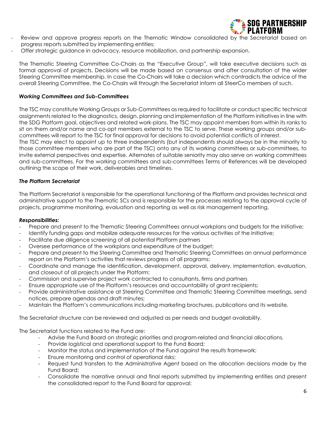

- Review and approve progress reports on the Thematic Window consolidated by the Secretariat based on progress reports submitted by implementing entities;
- Offer strategic guidance in advocacy, resource mobilization, and partnership expansion.

The Thematic Steering Committee Co-Chairs as the "Executive Group", will take executive decisions such as formal approval of projects. Decisions will be made based on consensus and after consultation of the wider Steering Committee membership. In case the Co-Chairs will take a decision which contradicts the advice of the overall Steering Committee, the Co-Chairs will through the Secretariat inform all SteerCo members of such.

# *Working Committees and Sub-Committees*

The TSC may constitute Working Groups or Sub-Committees as required to facilitate or conduct specific technical assignments related to the diagnostics, design, planning and implementation of the Platform initiatives in line with the SDG Platform goal, objectives and related work-plans. The TSC may appoint members from within its ranks to sit on them and/or name and co-opt members external to the TSC to serve. These working groups and/or subcommittees will report to the TSC for final approval for decisions to avoid potential conflicts of interest.

The TSC may elect to appoint up to three independents (but independents should always be in the minority to those committee members who are part of the TSC) onto any of its working committees or sub-committees, to invite external perspectives and expertise. Alternates of suitable seniority may also serve on working committees and sub-committees. For the working committees and sub-committees Terms of References will be developed outlining the scope of their work, deliverables and timelines.

# *The Platform Secretariat*

The Platform Secretariat is responsible for the operational functioning of the Platform and provides technical and administrative support to the Thematic SCs and is responsible for the processes relating to the approval cycle of projects, programme monitoring, evaluation and reporting as well as risk management reporting.

## *Responsibilities:*

- Prepare and present to the Thematic Steering Committees annual workplans and budgets for the Initiative;
- Identify funding gaps and mobilize adequate resources for the various activities of the Initiative;
- Facilitate due diligence screening of all potential Platform partners
- Oversee performance of the workplans and expenditure of the budget;
- Prepare and present to the Steering Committee and Thematic Steering Committees an annual performance report on the Platform's activities that reviews progress of all programs;
- Coordinate and manage the identification, development, approval, delivery, implementation, evaluation, and closeout of all projects under the Platform;
- Commission and supervise project work contracted to consultants, firms and partners
- Ensure appropriate use of the Platform's resources and accountability of grant recipients;
- Provide administrative assistance at Steering Committee and Thematic Steering Committee meetings, send notices, prepare agendas and draft minutes;
- Maintain the Platform's communications including marketing brochures, publications and its website.

The Secretariat structure can be reviewed and adjusted as per needs and budget availability.

The Secretariat functions related to the Fund are:

- Advise the Fund Board on strategic priorities and program-related and financial allocations.
- Provide logistical and operational support to the Fund Board;
- Monitor the status and implementation of the Fund against the results framework;
- Ensure monitoring and control of operational risks;
- Request fund transfers to the Administrative Agent based on the allocation decisions made by the Fund Board;
- Consolidate the narrative annual and final reports submitted by implementing entities and present the consolidated report to the Fund Board for approval;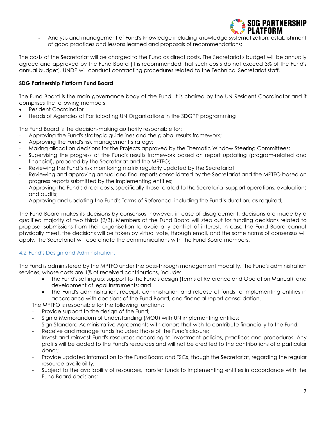

- Analysis and management of Fund's knowledge including knowledge systematization, establishment of good practices and lessons learned and proposals of recommendations;

The costs of the Secretariat will be charged to the Fund as direct costs. The Secretariat's budget will be annually agreed and approved by the Fund Board (it is recommended that such costs do not exceed 3% of the Fund's annual budget). UNDP will conduct contracting procedures related to the Technical Secretariat staff.

# **SDG Partnership Platform Fund Board**

The Fund Board is the main governance body of the Fund. It is chaired by the UN Resident Coordinator and it comprises the following members:

- Resident Coordinator
- Heads of Agencies of Participating UN Organizations in the SDGPP programming

The Fund Board is the decision-making authority responsible for:

- Approving the Fund's strategic guidelines and the global results framework;
- Approving the Fund's risk management strategy;
- Making allocation decisions for the Projects approved by the Thematic Window Steering Committees;
- Supervising the progress of the Fund's results framework based on report updating (program-related and financial), prepared by the Secretariat and the MPTFO;
- Reviewing the Fund's risk monitoring matrix regularly updated by the Secretariat;
- Reviewing and approving annual and final reports consolidated by the Secretariat and the MPTFO based on progress reports submitted by the implementing entities;
- Approving the Fund's direct costs, specifically those related to the Secretariat support operations, evaluations and audits;
- Approving and updating the Fund's Terms of Reference, including the Fund's duration, as required;

The Fund Board makes its decisions by consensus; however, in case of disagreement, decisions are made by a qualified majority of two thirds (2/3). Members of the Fund Board will step out for funding decisions related to proposal submissions from their organisation to avoid any conflict of interest. In case the Fund Board cannot physically meet, the decisions will be taken by virtual vote, through email, and the same norms of consensus will apply. The Secretariat will coordinate the communications with the Fund Board members.

# <span id="page-6-0"></span>4.2 Fund's Design and Administration:

The Fund is administered by the MPTFO under the pass-through management modality. The Fund's administration services, whose costs are 1% of received contributions, include:

- The Fund's setting up: support to the Fund's design (Terms of Reference and Operation Manual), and development of legal instruments; and
- The Fund's administration: receipt, administration and release of funds to implementing entities in accordance with decisions of the Fund Board, and financial report consolidation.
- The MPTFO is responsible for the following functions:
- Provide support to the design of the Fund;
- Sign a Memorandum of Understanding (MOU) with UN implementing entities;
- Sign Standard Administrative Agreements with donors that wish to contribute financially to the Fund;
- Receive and manage funds included those of the Fund's closure;
- Invest and reinvest Fund's resources according to investment policies, practices and procedures. Any profits will be added to the Fund's resources and will not be credited to the contributions of a particular donor;
- Provide updated information to the Fund Board and TSCs, though the Secretariat, regarding the regular resource availability;
- Subject to the availability of resources, transfer funds to implementing entities in accordance with the Fund Board decisions;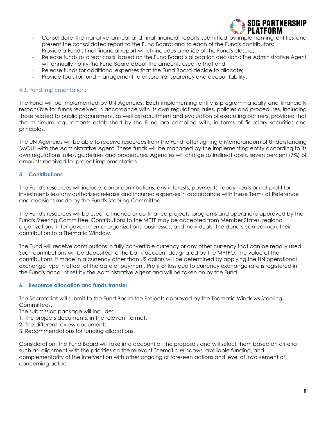

- Consolidate the narrative annual and final financial reports submitted by implementing entities and present the consolidated report to the Fund Board; and to each of the Fund's contributors;
- Provide a Fund's final financial report which includes a notice of the Fund's closure;
- Release funds as direct costs, based on the Fund Board's allocation decisions; The Administrative Agent will annually notify the Fund Board about the amounts used to that end;
- Release funds for additional expenses that the Fund Board decide to allocate;
- Provide tools for fund management to ensure transparency and accountability.

## <span id="page-7-0"></span>4.3. Fund Implementation:

The Fund will be implemented by UN Agencies. Each implementing entity is programmatically and financially responsible for funds received in accordance with its own regulations, rules, policies and procedures, including those related to public procurement, as well as recruitment and evaluation of executing partners, provided that the minimum requirements established by the Fund are complied with, in terms of fiduciary securities and principles.

The UN Agencies will be able to receive resources from the Fund, after signing a Memorandum of Understanding (MOU) with the Administrative Agent. These funds will be managed by the implementing entity according to its own regulations, rules, guidelines and procedures. Agencies will charge as indirect costs, seven percent (7%) of amounts received for project implementation.

# <span id="page-7-1"></span>**5. Contributions**

The Fund's resources will include: donor contributions; any interests, payments, repayments or net profit for investments less any authorized release and incurred expenses in accordance with these Terms of Reference and decisions made by the Fund's Steering Committee.

The Fund's resources will be used to finance or co-finance projects, programs and operations approved by the Fund's Steering Committee. Contributions to the MPTF may be accepted from Member States, regional organizations, inter-governmental organizations, businesses, and individuals. The donors can earmark their contribution to a Thematic Window.

The Fund will receive contributions in fully convertible currency or any other currency that can be readily used. Such contributions will be deposited to the bank account designated by the MPTFO. The value of the contributions, if made in a currency other than US dollars will be determined by applying the UN operational exchange type in effect of the date of payment. Profit or loss due to currency exchange rate is registered in the Fund's account set by the Administrative Agent and will be taken on by the Fund.

## <span id="page-7-2"></span>**6. Resource allocation and funds transfer**

The Secretariat will submit to the Fund Board the Projects approved by the Thematic Windows Steering Committees.

The submission package will include:

- 1. The projects documents, in the relevant format.
- 2. The different review documents.
- 3. Recommendations for funding allocations.

Consideration: The Fund Board will take into account all the proposals and will select them based on criteria such as: alignment with the priorities on the relevant Thematic Windows, available funding, and complementarity of the intervention with other ongoing or foreseen actions and level of involvement of concerning actors.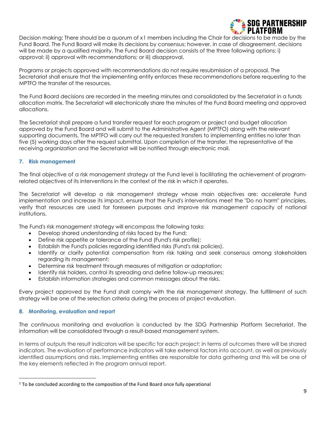

Decision making: There should be a quorum of x[1](#page-8-2) members including the Chair for decisions to be made by the Fund Board. The Fund Board will make its decisions by consensus; however, in case of disagreement, decisions will be made by a qualified majority. The Fund Board decision consists of the three following options: i) approval; ii) approval with recommendations; or iii) disapproval.

Programs or projects approved with recommendations do not require resubmission of a proposal. The Secretariat shall ensure that the implementing entity enforces these recommendations before requesting to the MPTFO the transfer of the resources.

The Fund Board decisions are recorded in the meeting minutes and consolidated by the Secretariat in a funds allocation matrix. The Secretariat will electronically share the minutes of the Fund Board meeting and approved allocations.

The Secretariat shall prepare a fund transfer request for each program or project and budget allocation approved by the Fund Board and will submit to the Administrative Agent (MPTFO) along with the relevant supporting documents. The MPTFO will carry out the requested transfers to implementing entities no later than five (5) working days after the request submittal. Upon completion of the transfer, the representative of the receiving organization and the Secretariat will be notified through electronic mail.

## <span id="page-8-0"></span>**7. Risk management**

The final objective of a risk management strategy at the Fund level is facilitating the achievement of programrelated objectives of its interventions in the context of the risk in which it operates.

The Secretariat will develop a risk management strategy whose main objectives are: accelerate Fund implementation and increase its impact, ensure that the Fund's interventions meet the "Do no harm" principles, verify that resources are used for foreseen purposes and improve risk management capacity of national institutions.

The Fund's risk management strategy will encompass the following tasks:

- Develop shared understanding of risks faced by the Fund;
- Define risk appetite or tolerance of the Fund (Fund's risk profile);
- Establish the Fund's policies regarding identified risks (Fund's risk policies).
- Identify or clarify potential compensation from risk taking and seek consensus among stakeholders regarding its management;
- Determine risk treatment through measures of mitigation or adaptation;
- Identify risk holders, control its spreading and define follow-up measures;
- Establish information strategies and common messages about the risks.

Every project approved by the Fund shall comply with the risk management strategy. The fulfillment of such strategy will be one of the selection criteria during the process of project evaluation.

## <span id="page-8-1"></span>**8. Monitoring, evaluation and report**

The continuous monitoring and evaluation is conducted by the SDG Partnership Platform Secretariat. The information will be consolidated through a result-based management system.

In terms of outputs the result indicators will be specific for each project; in terms of outcomes there will be shared indicators. The evaluation of performance indicators will take external factors into account, as well as previously identified assumptions and risks. Implementing entities are responsible for data gathering and this will be one of the key elements reflected in the program annual report.

<span id="page-8-2"></span> $1$  To be concluded according to the composition of the Fund Board once fully operational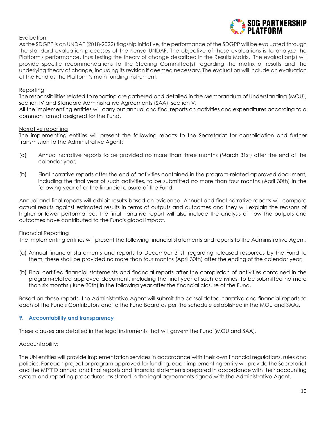

Evaluation:

As the SDGPP is an UNDAF (2018-2022) flagship initiative, the performance of the SDGPP will be evaluated through the standard evaluation processes of the Kenya UNDAF. The objective of these evaluations is to analyze the Platform's performance, thus testing the theory of change described in the Results Matrix. The evaluation(s) will provide specific recommendations to the Steering Committee(s) regarding the matrix of results and the underlying theory of change, including its revision if deemed necessary. The evaluation will include an evaluation of the Fund as the Platform's main funding instrument.

#### Reporting:

The responsibilities related to reporting are gathered and detailed in the Memorandum of Understanding (MOU), section IV and Standard Administrative Agreements (SAA), section V.

All the implementing entities will carry out annual and final reports on activities and expenditures according to a common format designed for the Fund.

#### Narrative reporting

The implementing entities will present the following reports to the Secretariat for consolidation and further transmission to the Administrative Agent:

- (a) Annual narrative reports to be provided no more than three months (March 31st) after the end of the calendar year;
- (b) Final narrative reports after the end of activities contained in the program-related approved document, including the final year of such activities, to be submitted no more than four months (April 30th) in the following year after the financial closure of the Fund.

Annual and final reports will exhibit results based on evidence. Annual and final narrative reports will compare actual results against estimated results in terms of outputs and outcomes and they will explain the reasons of higher or lower performance. The final narrative report will also include the analysis of how the outputs and outcomes have contributed to the Fund's global impact.

#### Financial Reporting

The implementing entities will present the following financial statements and reports to the Administrative Agent:

- (a) Annual financial statements and reports to December 31st, regarding released resources by the Fund to them; these shall be provided no more than four months (April 30th) after the ending of the calendar year;
- (b) Final certified financial statements and financial reports after the completion of activities contained in the program-related approved document, including the final year of such activities, to be submitted no more than six months (June 30th) in the following year after the financial closure of the Fund.

Based on these reports, the Administrative Agent will submit the consolidated narrative and financial reports to each of the Fund's Contributors and to the Fund Board as per the schedule established in the MOU and SAAs.

## <span id="page-9-0"></span>**9. Accountability and transparency**

These clauses are detailed in the legal instruments that will govern the Fund (MOU and SAA).

#### Accountability:

The UN entities will provide implementation services in accordance with their own financial regulations, rules and policies. For each project or program approved for funding, each implementing entity will provide the Secretariat and the MPTFO annual and final reports and financial statements prepared in accordance with their accounting system and reporting procedures, as stated in the legal agreements signed with the Administrative Agent.